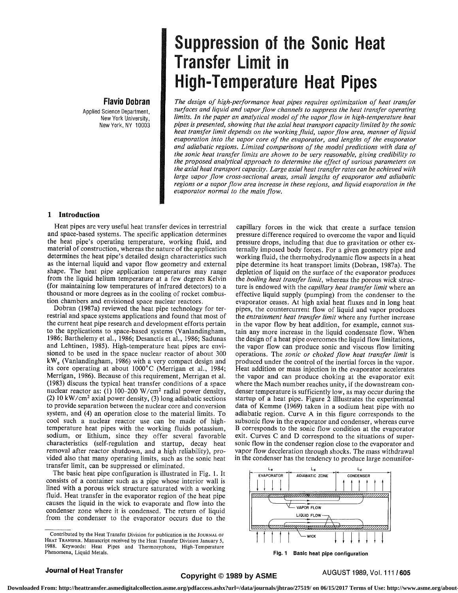# **Flavio Dobran**

Applied Science Department, New York University, New York, NY 10003

# Suppression of the Sonic Heat Transfer Limit in High-Temperature Heat Pipes

*The design of high-performance heat pipes requires optimization of heat transfer surfaces and liquid and vapor flow channels to suppress the heat transfer operating limits. In the paper an analytical model of the vapor flow in high-temperature heat pipes is presented, showing that the axial heat transport capacity limited by the sonic heat transfer limit depends on the working fluid, vapor flow area, manner of liquid evaporation into the vapor core of the evaporator, and lengths of the evaporator and adiabatic regions. Limited comparisons of the model predictions with data of the sonic heat transfer limits are shown to be very reasonable, giving credibility to the proposed analytical approach to determine the effect of various parameters on the axial heat transport capacity. Large axial heat transfer rates can be achieved with large vapor flow cross-sectional areas, small lengths of evaporator and adiabatic regions or a vapor flow area increase in these regions, and liquid evaporation in the evaporator normal to the main flow.* 

## **1 Introduction**

Heat pipes are very useful heat transfer devices in terrestrial and space-based systems. The specific application determines the heat pipe's operating temperature, working fluid, and material of construction, whereas the nature of the application determines the heat pipe's detailed design characteristics such as the internal liquid and vapor flow geometry and external shape. The heat pipe application temperatures may range from the liquid helium temperature at a few degrees Kelvin (for maintaining low temperatures of infrared detectors) to a thousand or more degrees as in the cooling of rocket combustion chambers and envisioned space nuclear reactors.

Dobran (1987a) reviewed the heat pipe technology for terrestrial and space systems applications and found that most of the current heat pipe research and development efforts pertain to the applications to space-based systems (Vanlandingham, 1986; Barthelemy et al., 1986; Desanctis et al., 1986; Sadunas and Lehtinen, 1985). High-temperature heat pipes are envisioned to be used in the space nuclear reactor of about 300  $kW<sub>e</sub>$  (Vanlandingham, 1986) with a very compact design and its core operating at about 1000°C (Merrigan et al., 1984; Merrigan, 1986). Because of this requirement, Merrigan et al. (1983) discuss the typical heat transfer conditions of a space nuclear reactor as: (1)  $100-200$  W/cm<sup>2</sup> radial power density,  $(2)$  10 kW/cm<sup>2</sup> axial power density, (3) long adiabatic sections to provide separation between the nuclear core and conversion system, and (4) an operation close to the material limits. To cool such a nuclear reactor use can be made of hightemperature heat pipes with the working fluids potassium, sodium, or lithium, since they offer several favorable characteristics (self-regulation and startup, decay heat removal after reactor shutdown, and a high reliability), provided also that many operating limits, such as the sonic heat transfer limit, can be suppressed or eliminated.

The basic heat pipe configuration is illustrated in Fig. 1. It consists of a container such as a pipe whose interior wall is lined with a porous wick structure saturated with a working fluid. Heat transfer in the evaporator region of the heat pipe causes the liquid in the wick to evaporate and flow into the condenser zone where it is condensed. The return of liquid from the condenser to the evaporator occurs due to the

capillary forces in the wick that create a surface tension pressure difference required to overcome the vapor and liquid pressure drops, including that due to gravitation or other externally imposed body forces. For a given geometry pipe and working fluid, the thermohydrodynamic flow aspects in a heat pipe determine its heat transport limits (Dobran, 1987a). The depletion of liquid on the surface of the evaporator produces the *boiling heat transfer limit,* whereas the porous wick structure is endowed with the *capillary heat transfer limit* where an effective liquid supply (pumping) from the condenser to the evaporator ceases. At high axial heat fluxes and in long heat pipes, the countercurrent flow of liquid and vapor produces the *entrainment heat transfer limit* where any further increase in the vapor flow by heat addition, for example, cannot sustain any more increase in the liquid condensate flow. When the design of a heat pipe overcomes the liquid flow limitations, the vapor flow can produce sonic and viscous flow limiting operations. The *sonic or choked flow heat transfer limit* is produced under the control of the inertial forces in the vapor. Heat addition or mass injection in the evaporator accelerates the vapor and can produce choking at the evaporator exit where the Mach number reaches unity, if the downstream condenser temperature is sufficiently low, as may occur during the startup of a heat pipe. Figure 2 illlustrates the experimental data of Kemme (1969) taken in a sodium heat pipe with no adiabatic region. Curve A in this figure corresponds to the subsonic flow in the evaporator and condenser, whereas curve B corresponds to the sonic flow condition at the evaporator exit. Curves C and D correspond to the situations of supersonic flow in the condenser region close to the evaporator and vapor flow deceleration through shocks. The mass withdrawal in the condenser has the tendency to produce large nonunifor-



Contributed by the Heat Transfer Division for publication in the JOURNAL OF HEAT TRANSFER. Manuscript received by the Heat Transfer Division January 5, 1988. Keywords: Heat Pipes and Thermosyphons, High-Temperature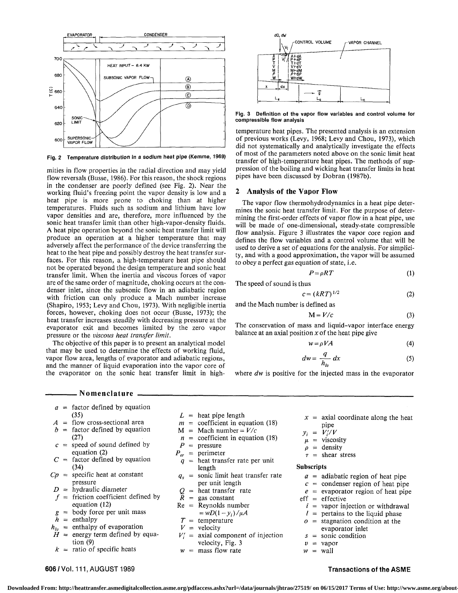

Fig. 2 Temperature distribution in a sodium heat pipe (Kemme, 1969)

mities in flow properties in the radial direction and may yield flow reversals (Busse, 1986). For this reason, the shock regions in the condenser are poorly defined (see Fig. 2). Near the working fluid's freezing point the vapor density is low and a heat pipe is more prone to choking than at higher temperatures. Fluids such as sodium and lithium have low vapor densities and are, therefore, more influenced by the sonic heat transfer limit than other high-vapor-density fluids. A heat pipe operation beyond the sonic heat transfer limit will produce an operation at a higher temperature that may adversely affect the performance of the device transferring the heat to the heat pipe and possibly destroy the heat transfer surfaces. For this reason, a high-temperature heat pipe should not be operated beyond the design temperature and sonic heat transfer limit. When the inertia and viscous forces of vapor are of the same order of magnitude, choking occurs at the condenser inlet, since the subsonic flow in an adiabatic region with friction can only produce a Mach number increase (Shapiro, 1953; Levy and Chou, 1973). With negligible inertia forces, however, choking does not occur (Busse, 1973); the heat transfer increases steadily with decreasing pressure at the evaporator exit and becomes limited by the zero vapor pressure or the *viscous heat transfer limit.* 

The objective of this paper is to present an analytical model that may be used to determine the effects of working fluid, vapor flow area, lengths of evaporator and adiabatic regions, and the manner of liquid evaporation into the vapor core of the evaporator on the sonic heat transfer limit in high-

### **Nomenclatur e**

- *a =* factor defined by equation (35)
- *A =* flow cross-sectional area *b —* factor defined by equation
- (27)
- $c =$  speed of sound defined by equation (2)
- $C =$  factor defined by equation (34)
- $Cp =$  specific heat at constant pressure
- $D =$  hydraulic diameter
- $=$  friction coefficient defined by equation (12)
- *g* = body force per unit mass
- $\bar{h}$  = enthalpy
- $h_{iv}$  = enthalpy of evaporation
- $H =$  energy term defined by equa-
- tion (9)
- $k =$  ratio of specific heats
- $L =$  heat pipe length
- $m =$  coefficient in equation (18)
- $M = \text{Mach number} = V/c$
- $n =$  coefficient in equation (18)
- 
- $P =$  pressure
- $P_{er}$  = perimeter *Q* **=**  heat transfer rate per unit
- *Qs =*  sonic limit heat transfer rate length per unit length
- *Q =*  heat transfer rate
- *R* = gas constant
- Re = Reynolds number
- $= wD(1-y_i)/\mu A$
- *T* = temperature
- $V =$  velocity
- $V_1' =$  axial component of injection velocity, Fig. 3
- *w* = mass flow rate

dQ, dh CONTROL VOLUME rVAPOR CHANNEL Ņ dx ី L.

Fig. 3 Definition of the vapor flow variables and control volume for compressible flow analysis

temperature heat pipes. The presented analysis is an extension of previous works (Levy, 1968; Levy and Chou, 1973), which did not systematically and analytically investigate the effects of most of the parameters noted above on the sonic limit heat transfer of high-temperature heat pipes. The methods of suppression of the boiling and wicking heat transfer limits in heat pipes have been discussed by Dobran (1987b).

### 2 **Analysis of the Vapor Flow**

The vapor flow thermohydrodynamics in a heat pipe determines the sonic heat transfer limit. For the purpose of determining the first-order effects of vapor flow in a heat pipe, use will be made of one-dimensional, steady-state compressible flow analysis. Figure 3 illustrates the vapor core region and defines the flow variables and a control volume that will be used to derive a set of equations for the analysis. For simplicity, and with a good approximation, the vapor will be assumed to obey a perfect gas equation of state, i.e.

$$
P = \rho RT \tag{1}
$$

The speed of sound is thus

$$
c = (kRT)^{1/2} \tag{2}
$$

and the Mach number is defined as

$$
M = V/c
$$
 (3)

The conservation of mass and liquid-vapor interface energy balance at an axial position *x* of the heat pipe give

$$
w = \rho \, VA \tag{4}
$$

$$
dw = \frac{q}{h_{lv}} dx
$$
 (5)

where *dw* is positive for the injected mass in the evaporator

- *x =* axial coordinate along the heat pipe
- $y_i = V_i^{\prime}/V$
- $\mu$  = viscosity
- $\rho$  = density
- $\tau$  = shear stress

### **Subscripts**

- $a =$  adiabatic region of heat pipe
- $c =$  condenser region of heat pipe
- *e* = evaporator region of heat pipe
- $eff = effective$ 
	- $i =$  vapor injection or withdrawal
	- $l =$  pertains to the liquid phase
- *o* = stagnation condition at the evaporator inlet
- *s =* sonic condition
- *v =* vapor
- $w =$  wall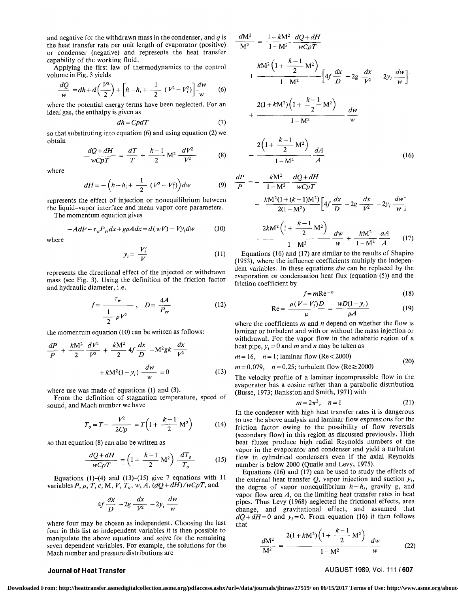and negative for the withdrawn mass in the condenser, and *q* is the heat transfer rate per unit length of evaporator (positive) or condenser (negative) and represents the heat transfer capability of the working fluid.

Applying the first law of thermodynamics to the control volume in Fig. 3 yields

$$
\frac{dQ}{w} = dh + d\left(\frac{V^2}{2}\right) + \left[h - h_i + \frac{1}{2} \left(V^2 - V_i^2\right)\right] \frac{dw}{w} \qquad (6)
$$

where the potential energy terms have been neglected. For an ideal gas, the enthalpy is given as

$$
dh = CpdT \tag{7}
$$

so that substituting into equation (6) and using equation (2) we obtain

$$
\frac{dQ + dH}{wCpT} = \frac{dT}{T} + \frac{k-1}{2} M^2 \frac{dV^2}{V^2}
$$
 (8)

where

$$
dH = -\left(h - h_i + \frac{1}{2} (V^2 - V_i^2)\right) dw \tag{9}
$$

represents the effect of injection or nonequilibrium between the liquid-vapor interface and mean vapor core parameters.

The momentum equation gives

$$
-AdP - \tau_w P_{er} dx + g\rho A dx = d(wV) - V y_i dw \tag{10}
$$

where

$$
y_i = \frac{V'_i}{V} \tag{11}
$$

represents the directional effect of the injected or withdrawn mass (see Fig. 3). Using the definition of the friction factor and hydraulic diameter, i.e.

$$
f = \frac{\tau_w}{\frac{1}{2} \rho V^2} , \quad D = \frac{4A}{P_{er}} \tag{12}
$$

the momentum equation (10) can be written as follows:

$$
\frac{dP}{P} + \frac{kM^2}{2} \frac{dV^2}{V^2} + \frac{kM^2}{2} 4f \frac{dx}{D} - M^2 g k \frac{dx}{V^2} + kM^2 (1 - y_i) \frac{dw}{w} = 0
$$
\n(13)

where use was made of equations (1) and (3).

From the definition of stagnation temperature, speed of sound, and Mach number we have

$$
T_o = T + \frac{V^2}{2Cp} = T\left(1 + \frac{k-1}{2} M^2\right) \tag{14}
$$

so that equation (8) can also be written as

$$
\frac{dQ + dH}{wCpT} = \left(1 + \frac{k-1}{2} M^2\right) \frac{dT_o}{T_o} \tag{15}
$$

Equations (1)-(4) and (13)-(15) give 7 equations with  $11$ variables  $P, \rho, T, c, M, V, T_o, w, A, (dQ+dH)/wCpT$ , and

$$
4f\frac{dx}{D}-2g\frac{dx}{V^2}-2y_i\frac{dw}{w}
$$

where four may be chosen as independent. Choosing the last four in this list as independent variables it is then possible to manipulate the above equations and solve for the remaining seven dependent variables. For example, the solutions for the Mach number and pressure distributions are

$$
\frac{dM^2}{M^2} = \frac{1 + kM^2}{1 - M^2} \frac{dQ + dH}{wCpT}
$$
  
+ 
$$
\frac{kM^2 \left(1 + \frac{k-1}{2} M^2\right)}{1 - M^2} \left[4f \frac{dx}{D} - 2g \frac{dx}{V^2} - 2y_i \frac{dw}{w}\right]
$$
  
+ 
$$
\frac{2(1 + kM^2) \left(1 + \frac{k-1}{2} M^2\right)}{1 - M^2} \frac{dw}{w}
$$
  
- 
$$
\frac{2\left(1 + \frac{k-1}{2} M^2\right)}{1 - M^2} \frac{dA}{A}
$$
 (16)

$$
\frac{dP}{P} = -\frac{kM^2}{1 - M^2} \frac{dQ + dH}{wCpT}
$$

$$
-\frac{kM^2(1 + (k-1)M^2)}{2(1 - M^2)} \left[4f\frac{dx}{D} - 2g\frac{dx}{V^2} - 2y_i\frac{dw}{W}\right]
$$

$$
-\frac{2kM^2\left(1 + \frac{k-1}{2}M^2\right)}{1 - M^2}\frac{dw}{W} + \frac{kM^2}{1 - M^2}\frac{dA}{A} \qquad (17)
$$

Equations (16) and (17) are similar to the results of Shapiro (1953), where the influence coefficients multiply the independent variables. In these equations *dw* can be replaced by the evaporation or condensation heat flux (equation (5)) and the friction coefficient by

 $1 - M^2$ 

$$
f = m \text{Re}^{-n} \tag{18}
$$

$$
Re = \frac{\rho (V - V_i)D}{\mu} = \frac{wD(1 - y_i)}{\mu A}
$$
 (19)

where the coefficients *m* and *n* depend on whether the flow is laminar or turbulent and with or without the mass injection or withdrawal. For the vapor flow in the adiabatic region of a heat pipe,  $y_i = 0$  and *m* and *n* may be taken as

$$
m=16
$$
,  $n=1$ ; laminar flow (Re<2000) (20)

 $m = 0.079$ ,  $n = 0.25$ ; turbulent flow (Re  $\geq 2000$ )

The velocity profile of a laminar incompressible flow in the evaporator has a cosine rather than a parabolic distribution (Busse, 1973; Bankston and Smith, 1971) with

$$
m=2\pi^2, \quad n=1 \tag{21}
$$

In the condenser with high heat transfer rates it is dangerous to use the above analysis and laminar flow expressions for the friction factor owing to the possibility of flow reversals (secondary flow) in this region as discussed previously. High heat fluxes produce high radial Reynolds numbers of the vapor in the evaporator and condenser and yield a turbulent flow in cylindrical condensers even if the axial Reynolds number is below 2000 (Quaile and Levy, 1975).

Equations (16) and (17) can be used to study the effects of the external heat transfer  $Q$ , vapor injection and suction  $y_i$ , the degree of vapor nonequilibrium  $h-h_i$ , gravity g, and vapor flow area  $\vec{A}$ , on the limiting heat transfer rates in heat pipes. Thus Levy (1968) neglected the frictional effects, area change, and gravitational effect, and assumed that  $dQ + dH = 0$  and  $y_i = 0$ . From equation (16) it then follows that

$$
\frac{dM^2}{M^2} = \frac{2(1 + kM^2)\left(1 + \frac{k-1}{2}M^2\right)}{1 - M^2} \frac{dw}{w} \tag{22}
$$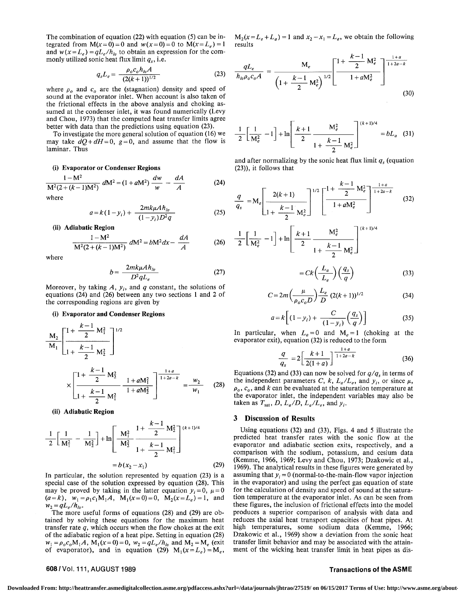The combination of equation (22) with equation (5) can be integrated from  $M(x=0) = 0$  and  $w(x=0) = 0$  to  $M(x=L_e) = 1$ and  $w(x=L_e)=qL_e/h_h$  to obtain an expression for the commonly utilized sonic heat flux limit *q<sup>s</sup> ,* i.e.

$$
q_s L_e = \frac{\rho_o c_o h_{lv} A}{(2(k+1))^{1/2}}
$$
 (23)

where  $\rho$ <sup>0</sup> and  $c$ <sup>0</sup> are the (stagnation) density and speed of sound at the evaporator inlet. When account is also taken of the frictional effects in the above analysis and choking assumed at the condenser inlet, it was found numerically (Levy and Chou, 1973) that the computed heat transfer limits agree better with data than the predictions using equation (23).

To investigate the more general solution of equation (16) we may take  $dQ + dH = 0$ ,  $g = 0$ , and assume that the flow is laminar. Thus

### **(i) Evaporator or Condenser Regions**

$$
\frac{1 - M^2}{M^2 (2 + (k-1)M^2)} dM^2 = (1 + aM^2) \frac{dw}{w} - \frac{dA}{A}
$$
 (24)

where

$$
a = k(1 - y_i) + \frac{2mk\mu A h_{lv}}{(1 - y_i)D^2q}
$$
 (25)

**(ii) Adiabatic Region** 

$$
\frac{1 - M^2}{M^2 (2 + (k-1)M^2)} dM^2 = bM^2 dx - \frac{dA}{A}
$$
 (26)

where

$$
b = \frac{2mk\mu A h_{lv}}{D^2qL_e} \tag{27}
$$

Moreover, by taking  $A$ ,  $y_i$ , and  $q$  constant, the solutions of equations (24) and (26) between any two sections 1 and 2 of the corresponding regions are given by

### **(i) Evaporator and Condenser Regions**

$$
\frac{M_2}{M_1} \left[ \frac{1 + \frac{k-1}{2} M_1^2}{1 + \frac{k-1}{2} M_2^2} \right]^{1/2}
$$
  
 
$$
\times \left[ \frac{1 + \frac{k-1}{2} M_2^2}{1 + \frac{k-1}{2} M_1^2} \frac{1 + aM_1^2}{1 + aM_2^2} \right]^{1 + a} = \frac{w_2}{w_1}
$$
 (28)

**(ii) Adiabatic Region** 

$$
\frac{1}{2}\left[\frac{1}{M_1^2} - \frac{1}{M_2^2}\right] + \ln\left[\frac{M_1^2}{M_2^2} \frac{1 + \frac{k-1}{2}M_2^2}{1 + \frac{k-1}{2}M_1^2}\right]^{(k+1)/4}
$$

$$
= b(x_2 - x_1) \tag{29}
$$

In particular, the solution represented by equation (23) is a special case of the solution expressed by equation (28). This may be proved by taking in the latter equation  $y_i = 0$ ,  $\mu = 0$  $(a = k)$ ,  $w_1 = \rho_1 c_1 M_1 A$ ,  $M_1(x=0) = 0$ ,  $M_2(x=L_e) = 1$ , and  $w_2 = qL_e/h_{iv}$ .

The more useful forms of equations (28) and (29) are obtained by solving these equations for the maximum heat transfer rate *q,* which occurs when the flow chokes at the exit of the adiabatic region of a heat pipe. Setting in equation (28)  $w_1 = \rho_o c_o M_1 A$ ,  $M_1(x=0) = 0$ ,  $w_2 = qL_e/h_{lv}$  and  $M_2 = M_e$  (exit of evaporator), and in equation (29)  $M_1(x=L_e) = M_e$ ,

 $M_2(x=L_e+L_a) = 1$  and  $x_2-x_1=L_a$ , we obtain the following results

23) 
$$
\frac{qL_e}{h_{lv}\rho_o c_o A} = \frac{M_e}{\left(1 + \frac{k-1}{2} M_e^2\right)^{1/2}} \left[\frac{1 + \frac{k-1}{2} M_e^2}{1 + aM_e^2}\right]^{\frac{1+a}{1+2a-k}}
$$
\nof\n(30)

$$
\frac{1}{2}\left[\frac{1}{M_e^2} - 1\right] + \ln\left[\frac{k+1}{2}\frac{M_e^2}{1 + \frac{k-1}{2}M_e^2}\right]^{(k+1)/4} = bL_a \quad (31)
$$

and after normalizing by the sonic heat flux limit *q<sup>s</sup>* (equation (23)), it follows that

$$
\frac{q}{q_s} = M_e \left[ \frac{2(k+1)}{1 + \frac{k-1}{2} M_e^2} \right]^{1/2} \left[ \frac{1 + \frac{k-1}{2} M_e^2}{1 + a M_e^2} \right]^{1 + a}
$$
(32)  

$$
\frac{1}{2} \left[ \frac{1}{M_e^2} - 1 \right] + \ln \left[ \frac{k+1}{2} \frac{M_e^2}{1 + \frac{k-1}{2} M_e^2} \right]^{(k+1)/4}
$$

$$
= Ck\left(\frac{L_a}{L_e}\right)\left(\frac{q_s}{q}\right) \tag{33}
$$

$$
C = 2m\left(\frac{\mu}{\rho_o c_o D}\right) \frac{L_e}{D} (2(k+1))^{1/2}
$$
 (34)

$$
a = k \left[ (1 - y_i) + \frac{C}{(1 - y_i)} \left( \frac{q_s}{q} \right) \right]
$$
 (35)

In particular, when  $L_a = 0$  and  $M_e = 1$  (choking at the evaporator exit), equation (32) is reduced to the form

$$
\frac{q}{q_s} = 2 \left[ \frac{k+1}{2(1+a)} \right]^{\frac{1+a}{1+2a-k}} \tag{36}
$$

Equations (32) and (33) can now be solved for  $q/q_s$  in terms of the independent parameters C, k,  $L_a/L_e$ , and  $y_i$ , or since  $\mu$ ,  $\rho$ <sup>0</sup>,  $c$ <sup>0</sup>, and *k* can be evaluated at the saturation temperature at the evaporator inlet, the independent variables may also be taken as  $T_{\text{sat}}$ , *D*,  $L_a/D$ ,  $L_a/L_e$ , and  $y_i$ .

# **3 Discussion of Results**

Using equations (32) and (33), Figs. 4 and 5 illustrate the predicted heat transfer rates with the sonic flow at the evaporator and adiabatic section exits, respectively, and a comparison with the sodium, potassium, and cesium data (Kemme, 1966, 1969; Levy and Chou, 1973; Dzakowic et al., 1969). The analytical results in these figures were generated by assuming that  $y_i = 0$  (normal-to-the-main-flow vapor injection in the evaporator) and using the perfect gas equation of state for the calculation of density and speed of sound at the saturation temperature at the evaporator inlet. As can be seen from these figures, the inclusion of frictional effects into the model produces a superior comparison of analysis with data and reduces the axial heat transport capacities of heat pipes. At high temperatures, some sodium data (Kemme, 1966; Dzakowic et al., 1969) show a deviation from the sonic heat transfer limit behavior and may be associated with the attainment of the wicking heat transfer limit in heat pipes as dis-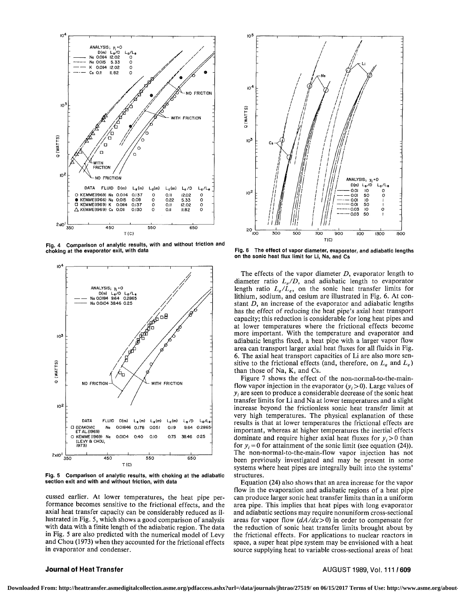

**Fig. 4 Comparison of analytic results, with and without friction and choking at the evaporator exit, with data** 



**Fig. 5 Comparison of analytic results, with choking at the adiabatic section exit and with and without friction, with data** 

cussed earlier. At lower temperatures, the heat pipe performance becomes sensitive to the frictional effects, and the axial heat transfer capacity can be considerably reduced as illustrated in Fig. 5, which shows a good comparison of analysis with data with a finite length of the adiabatic region. The data in Fig. 5 are also predicted with the numerical model of Levy and Chou (1973) when they accounted for the frictional effects in evaporator and condenser.



**Fig. 6 The effect of vapor diameter, evaporator, and adiabatic lengths on the sonic heat flux limit for Li, Na, and Cs** 

The effects of the vapor diameter *D,* evaporator length to diameter ratio *Le/D,* and adiabatic length to evaporator length ratio  $L_a/L_e$ , on the sonic heat transfer limits for lithium, sodium, and cesium are illustrated in Fig. 6. At constant *D,* an increase of the evaporator and adiabatic lengths has the effect of reducing the heat pipe's axial heat transport capacity; this reduction is considerable for long heat pipes and at lower temperatures where the frictional effects become more important. With the temperature and evaporator and adiabatic lengths fixed, a heat pipe with a larger vapor flow area can transport larger axial heat fluxes for all fluids in Fig. 6. The axial heat transport capacities of Li are also more sensitive to the frictional effects (and, therefore, on *La* and *Le)*  than those of Na, K, and Cs.

Figure 7 shows the effect of the non-normal-to-the-mainflow vapor injection in the evaporator  $(y_i > 0)$ . Large values of *y,* are seen to produce a considerable decrease of the sonic heat transfer limits for Li and Na at lower temperatures and a slight increase beyond the frictionless sonic heat transfer limit at very high temperatures. The physical explanation of these results is that at lower temperatures the frictional effects are important, whereas at higher temperatures the inertial effects dominate and require higher axial heat fluxes for  $y_i > 0$  than for  $y_i = 0$  for attainment of the sonic limit (see equation (24)). The non-normal-to-the-main-flow vapor injection has not been previously investigated and may be present in some systems where heat pipes are integrally built into the systems' structures.

Equation (24) also shows that an area increase for the vapor flow in the evaporation and adiabatic regions of a heat pipe can produce larger sonic heat transfer limits than in a uniform area pipe. This implies that heat pipes with long evaporator and adiabatic sections may require nonuniform cross-sectional areas for vapor flow *(dA/dx>0)* in order to compensate for the reduction of sonic heat transfer limits brought about by the frictional effects. For applications to nuclear reactors in space, a super heat pipe system may be envisioned with a heat source supplying heat to variable cross-sectional areas of heat